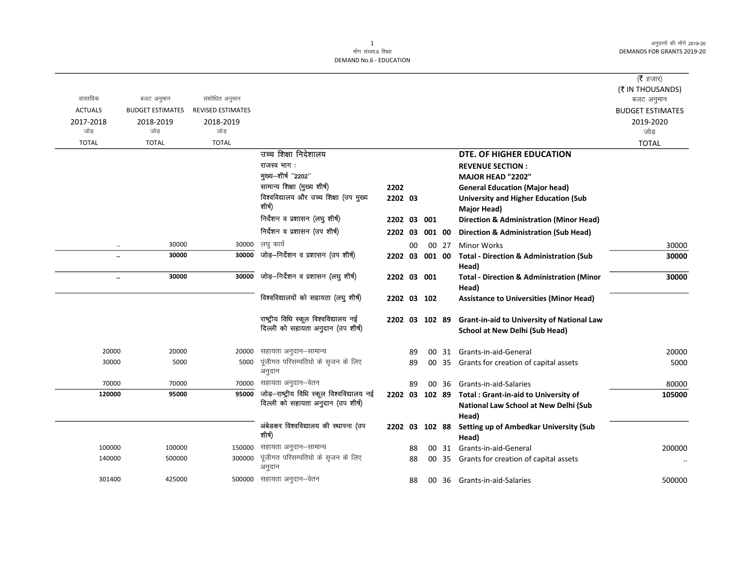$\overline{\phantom{0}}$ 

| वास्तविक<br><b>ACTUALS</b><br>2017-2018 | बजट अनुमान<br><b>BUDGET ESTIMATES</b><br>2018-2019 | संशोधित अनुमान<br><b>REVISED ESTIMATES</b><br>2018-2019 |                                                                                  |                |    |                |       |                                                                                                        | ( $\bar{\tau}$ हजार)<br>(₹ IN THOUSANDS)<br>बजट अनुमान<br><b>BUDGET ESTIMATES</b><br>2019-2020 |
|-----------------------------------------|----------------------------------------------------|---------------------------------------------------------|----------------------------------------------------------------------------------|----------------|----|----------------|-------|--------------------------------------------------------------------------------------------------------|------------------------------------------------------------------------------------------------|
| जोड                                     | जोड                                                | जोड                                                     |                                                                                  |                |    |                |       |                                                                                                        | जोड                                                                                            |
| <b>TOTAL</b>                            | <b>TOTAL</b>                                       | <b>TOTAL</b>                                            | उच्च शिक्षा निदेशालय                                                             |                |    |                |       | DTE. OF HIGHER EDUCATION                                                                               | <b>TOTAL</b>                                                                                   |
|                                         |                                                    |                                                         | राजस्व भाग:                                                                      |                |    |                |       | <b>REVENUE SECTION:</b>                                                                                |                                                                                                |
|                                         |                                                    |                                                         | मुख्य-शीर्ष "2202"                                                               |                |    |                |       | <b>MAJOR HEAD "2202"</b>                                                                               |                                                                                                |
|                                         |                                                    |                                                         | सामान्य शिक्षा (मुख्य शीर्ष)                                                     | 2202           |    |                |       | <b>General Education (Major head)</b>                                                                  |                                                                                                |
|                                         |                                                    |                                                         | विश्वविद्यालय और उच्च शिक्षा (उप मुख्य<br>शीर्ष)                                 | 2202 03        |    |                |       | <b>University and Higher Education (Sub</b><br><b>Major Head)</b>                                      |                                                                                                |
|                                         |                                                    |                                                         | निर्देशन व प्रशासन (लघु शीर्ष)                                                   | 2202 03 001    |    |                |       | <b>Direction &amp; Administration (Minor Head)</b>                                                     |                                                                                                |
|                                         |                                                    |                                                         | निर्देशन व प्रशासन (उप शीर्ष)                                                    | 2202 03        |    | 001 00         |       | <b>Direction &amp; Administration (Sub Head)</b>                                                       |                                                                                                |
|                                         | 30000                                              | 30000                                                   | लघु कार्य                                                                        |                | 00 |                | 00 27 | <b>Minor Works</b>                                                                                     | 30000                                                                                          |
|                                         | 30000                                              | 30000                                                   | जोड़-निर्देशन व प्रशासन (उप शीर्ष)                                               | 2202 03 001 00 |    |                |       | <b>Total - Direction &amp; Administration (Sub</b><br>Head)                                            | 30000                                                                                          |
| $\ddot{\phantom{0}}$                    | 30000                                              | 30000                                                   | जोड़-निर्देशन व प्रशासन (लघु शीर्ष)                                              | 2202 03 001    |    |                |       | <b>Total - Direction &amp; Administration (Minor</b><br>Head)                                          | 30000                                                                                          |
|                                         |                                                    |                                                         | विश्वविद्यालयों को सहायता (लघु शीर्ष)                                            | 2202 03 102    |    |                |       | <b>Assistance to Universities (Minor Head)</b>                                                         |                                                                                                |
|                                         |                                                    |                                                         | राष्ट्रीय विधि स्कूल विश्वविद्यालय नई<br>दिल्ली को सहायता अनुदान (उप शीर्ष)      |                |    | 2202 03 102 89 |       | <b>Grant-in-aid to University of National Law</b><br><b>School at New Delhi (Sub Head)</b>             |                                                                                                |
| 20000                                   | 20000                                              | 20000                                                   | सहायता अनुदान–सामान्य                                                            |                | 89 |                | 00 31 | Grants-in-aid-General                                                                                  | 20000                                                                                          |
| 30000                                   | 5000                                               | 5000                                                    | पूंजीगत परिसम्पतियो के सृजन के लिए<br>अनुदान                                     |                | 89 |                | 00 35 | Grants for creation of capital assets                                                                  | 5000                                                                                           |
| 70000                                   | 70000                                              | 70000                                                   | सहायता अनुदान–वेतन                                                               |                | 89 |                | 00 36 | Grants-in-aid-Salaries                                                                                 | 80000                                                                                          |
| 120000                                  | 95000                                              | 95000                                                   | जोड़-राष्ट्रीय विधि स्कूल विश्वविद्यालय नई<br>दिल्ली को सहायता अनुदान (उप शीर्ष) |                |    |                |       | 2202 03 102 89 Total : Grant-in-aid to University of<br>National Law School at New Delhi (Sub<br>Head) | 105000                                                                                         |
|                                         |                                                    |                                                         | अंबेडकर विश्वविद्यालय की स्थापना (उप<br>शीर्ष)                                   | 2202 03        |    | 102 88         |       | Setting up of Ambedkar University (Sub<br>Head)                                                        |                                                                                                |
| 100000                                  | 100000                                             | 150000                                                  | सहायता अनुदान–सामान्य                                                            |                | 88 |                | 00 31 | Grants-in-aid-General                                                                                  | 200000                                                                                         |
| 140000                                  | 500000                                             | 300000                                                  | पूंजीगत परिसम्पतियो के सृजन के लिए<br>अनुदान                                     |                | 88 |                | 00 35 | Grants for creation of capital assets                                                                  |                                                                                                |
| 301400                                  | 425000                                             |                                                         | 500000 सहायता अनुदान—वेतन                                                        |                | 88 |                | 00 36 | Grants-in-aid-Salaries                                                                                 | 500000                                                                                         |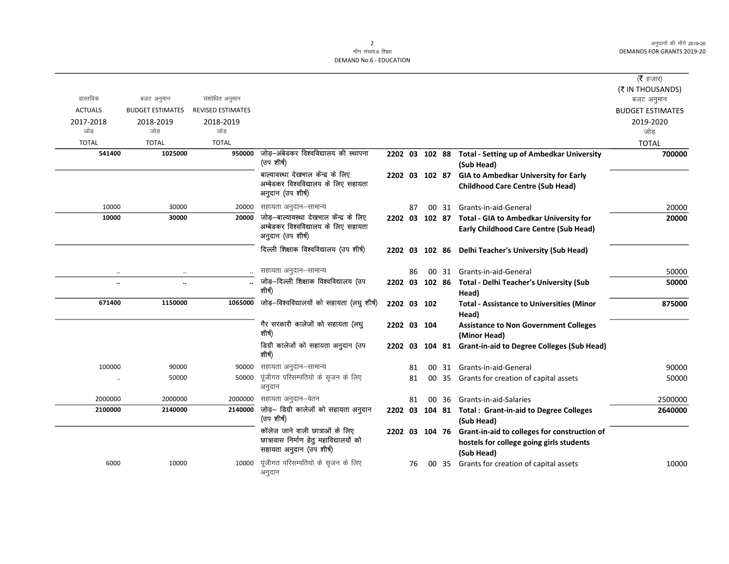$\overline{\phantom{0}}$ 

DEMAND No.6 - EDUCATION

|                      |                         |                          |                                                           |                |    |                |       |                                                                     | ( $\bar{\tau}$ हजार)           |
|----------------------|-------------------------|--------------------------|-----------------------------------------------------------|----------------|----|----------------|-------|---------------------------------------------------------------------|--------------------------------|
| वास्तविक             | बजट अनुमान              | संशोधित अनुमान           |                                                           |                |    |                |       |                                                                     | (₹ IN THOUSANDS)<br>बजट अनुमान |
| <b>ACTUALS</b>       | <b>BUDGET ESTIMATES</b> | <b>REVISED ESTIMATES</b> |                                                           |                |    |                |       |                                                                     | <b>BUDGET ESTIMATES</b>        |
| 2017-2018            | 2018-2019               | 2018-2019                |                                                           |                |    |                |       |                                                                     | 2019-2020                      |
| जोड                  | जोड                     | जोड                      |                                                           |                |    |                |       |                                                                     | जोड                            |
| <b>TOTAL</b>         | <b>TOTAL</b>            | <b>TOTAL</b>             |                                                           |                |    |                |       |                                                                     | <b>TOTAL</b>                   |
| 541400               | 1025000                 | 950000                   | जोड़—अंबेडकर विश्वविद्यालय की स्थापना                     |                |    |                |       | 2202 03 102 88 Total - Setting up of Ambedkar University            | 700000                         |
|                      |                         |                          | (उप शीर्ष)                                                |                |    |                |       | (Sub Head)                                                          |                                |
|                      |                         |                          | बाल्यावस्था देखभाल केंन्द्र के लिए                        |                |    | 2202 03 102 87 |       | <b>GIA to Ambedkar University for Early</b>                         |                                |
|                      |                         |                          | अम्बेडकर विश्वविद्यालय के लिए सहायता<br>अनुदान (उप शीर्ष) |                |    |                |       | <b>Childhood Care Centre (Sub Head)</b>                             |                                |
| 10000                | 30000                   | 20000                    | सहायता अनुदान–सामान्य                                     |                | 87 |                | 00 31 | Grants-in-aid-General                                               | 20000                          |
| 10000                | 30000                   | 20000                    | जोड़—बाल्यावस्था देखभाल केंन्द्र के लिए                   |                |    |                |       | 2202 03 102 87 Total - GIA to Ambedkar University for               | 20000                          |
|                      |                         |                          | अम्बेडकर विश्वविद्यालय के लिए सहायता<br>अनुदान (उप शीर्ष) |                |    |                |       | <b>Early Childhood Care Centre (Sub Head)</b>                       |                                |
|                      |                         |                          | दिल्ली शिक्षाक विश्वविद्यालय (उप शीर्ष)                   |                |    |                |       | 2202 03 102 86 Delhi Teacher's University (Sub Head)                |                                |
| $\cdot$ .            |                         |                          | सहायता अनुदान–सामान्य                                     |                | 86 |                |       | 00 31 Grants-in-aid-General                                         | 50000                          |
| $\ddot{\phantom{a}}$ | $\ddot{\phantom{a}}$    |                          | जोड़-दिल्ली शिक्षाक विश्वविद्यालय (उप<br>शीर्ष)           |                |    |                |       | 2202 03 102 86 Total - Delhi Teacher's University (Sub<br>Head)     | 50000                          |
| 671400               | 1150000                 | 1065000                  | जोड़–विश्वविद्यालयों को सहायता (लघु शीर्ष)                | 2202 03 102    |    |                |       | <b>Total - Assistance to Universities (Minor</b><br>Head)           | 875000                         |
|                      |                         |                          | गैर सरकारी कालेजों को सहायता (लघु<br>शीर्ष)               | 2202 03 104    |    |                |       | <b>Assistance to Non Government Colleges</b><br>(Minor Head)        |                                |
|                      |                         |                          | डिग्री कालेजों को सहायता अनुदान (उप<br>शीर्ष)             | 2202 03 104 81 |    |                |       | <b>Grant-in-aid to Degree Colleges (Sub Head)</b>                   |                                |
| 100000               | 90000                   | 90000                    | सहायता अनुदान–सामान्य                                     |                | 81 |                |       | 00 31 Grants-in-aid-General                                         | 90000                          |
| $\ddot{\phantom{a}}$ | 50000                   | 50000                    | पूंजीगत परिसम्पतियो के सृजन के लिए                        |                | 81 |                |       | 00 35 Grants for creation of capital assets                         | 50000                          |
|                      |                         |                          | अनुदान                                                    |                |    |                |       |                                                                     |                                |
| 2000000              | 2000000                 | 2000000                  | सहायता अनुदान–वेतन                                        |                | 81 |                | 00 36 | Grants-in-aid-Salaries                                              | 2500000                        |
| 2100000              | 2140000                 | 2140000                  | जोड़– डिग्री कालेजों को सहायता अनुदान<br>(उप शीर्ष)       |                |    |                |       | 2202 03 104 81 Total: Grant-in-aid to Degree Colleges<br>(Sub Head) | 2640000                        |
|                      |                         |                          | कॉलेज जाने वाली छात्राओं के लिए                           |                |    | 2202 03 104 76 |       | Grant-in-aid to colleges for construction of                        |                                |
|                      |                         |                          | छात्रावास निर्माण हेतु महाविद्यालयों को                   |                |    |                |       | hostels for college going girls students                            |                                |
|                      |                         |                          | सहायता अनुदान (उप शीर्ष)                                  |                |    |                |       | (Sub Head)                                                          |                                |
| 6000                 | 10000                   | 10000                    | पूंजीगत परिसम्पतियो के सृजन के लिए<br>अनुदान              |                | 76 |                | 00 35 | Grants for creation of capital assets                               | 10000                          |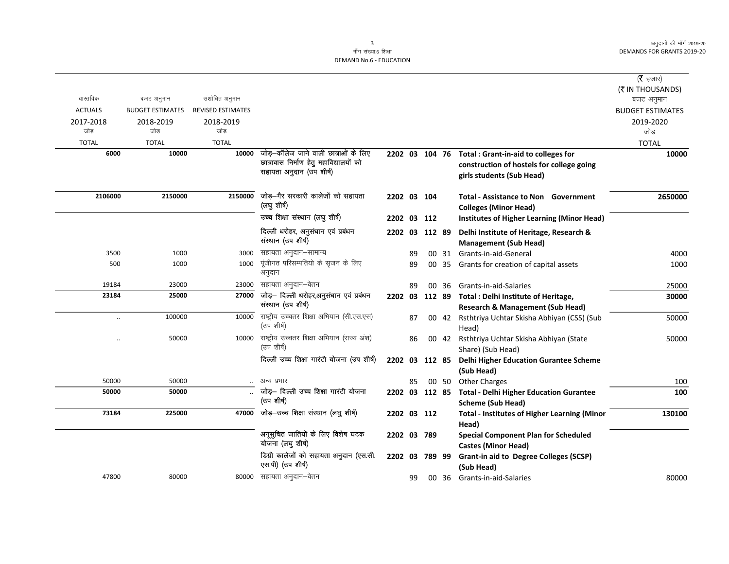$\overline{\phantom{0}}$ 

## DEMAND No.6 - EDUCATION

| वास्तविक         | बजट अनुमान              | संशोधित अनुमान           |                                                                                                             |                |    |                |       |                                                                                                                | ( $\bar{\tau}$ हजार)<br>(₹ IN THOUSANDS)<br>बजट अनुमान |
|------------------|-------------------------|--------------------------|-------------------------------------------------------------------------------------------------------------|----------------|----|----------------|-------|----------------------------------------------------------------------------------------------------------------|--------------------------------------------------------|
| <b>ACTUALS</b>   | <b>BUDGET ESTIMATES</b> | <b>REVISED ESTIMATES</b> |                                                                                                             |                |    |                |       |                                                                                                                | <b>BUDGET ESTIMATES</b>                                |
| 2017-2018<br>जोड | 2018-2019<br>जोड        | 2018-2019<br>जोड         |                                                                                                             |                |    |                |       |                                                                                                                | 2019-2020<br>जोड़                                      |
| <b>TOTAL</b>     | <b>TOTAL</b>            | <b>TOTAL</b>             |                                                                                                             |                |    |                |       |                                                                                                                | <b>TOTAL</b>                                           |
| 6000             | 10000                   | 10000                    | जोड़-कॉलेज जाने वाली छात्राओं के लिए<br>छात्रावास निर्माण हेतु महाविद्यालयों को<br>सहायता अनुदान (उप शीर्ष) | 2202 03 104 76 |    |                |       | Total : Grant-in-aid to colleges for<br>construction of hostels for college going<br>girls students (Sub Head) | 10000                                                  |
| 2106000          | 2150000                 | 2150000                  | जोड़-गैर सरकारी कालेजों को सहायता<br>(लघु शीर्ष)                                                            | 2202 03 104    |    |                |       | <b>Total - Assistance to Non Government</b><br><b>Colleges (Minor Head)</b>                                    | 2650000                                                |
|                  |                         |                          | उच्च शिक्षा संस्थान (लघु शीर्ष)                                                                             | 2202 03 112    |    |                |       | Institutes of Higher Learning (Minor Head)                                                                     |                                                        |
|                  |                         |                          | दिल्ली धरोहर, अनुसंधान एवं प्रबंधन<br>संस्थान (उप शीर्ष)                                                    | 2202 03        |    | 112 89         |       | Delhi Institute of Heritage, Research &<br><b>Management (Sub Head)</b>                                        |                                                        |
| 3500             | 1000                    | 3000                     | सहायता अनुदान–सामान्य                                                                                       |                | 89 |                |       | 00 31 Grants-in-aid-General                                                                                    | 4000                                                   |
| 500              | 1000                    | 1000                     | पूंजीगत परिसम्पतियो के सृजन के लिए<br>अनुदान                                                                |                | 89 |                | 00 35 | Grants for creation of capital assets                                                                          | 1000                                                   |
| 19184            | 23000                   | 23000                    | सहायता अनुदान–वेतन                                                                                          |                | 89 |                | 00 36 | Grants-in-aid-Salaries                                                                                         | 25000                                                  |
| 23184            | 25000                   | 27000                    | जोड़- दिल्ली धरोहर,अनुसंधान एवं प्रबंधन<br>संस्थान (उप शीर्ष)                                               |                |    | 2202 03 112 89 |       | Total: Delhi Institute of Heritage,<br><b>Research &amp; Management (Sub Head)</b>                             | 30000                                                  |
| $\ddotsc$        | 100000                  | 10000                    | राष्ट्रीय उच्चतर शिक्षा अभियान (सी.एस.एस)<br>(उप शीर्ष)                                                     |                | 87 |                | 00 42 | Rsthtriya Uchtar Skisha Abhiyan (CSS) (Sub<br>Head)                                                            | 50000                                                  |
|                  | 50000                   |                          | 10000 राष्ट्रीय उच्चतर शिक्षा अभियान (राज्य अंश)<br>(उप शीर्ष)                                              |                | 86 |                | 00 42 | Rsthtriya Uchtar Skisha Abhiyan (State<br>Share) (Sub Head)                                                    | 50000                                                  |
|                  |                         |                          | दिल्ली उच्च शिक्षा गारंटी योजना (उप शीर्ष)                                                                  | 2202 03 112 85 |    |                |       | <b>Delhi Higher Education Gurantee Scheme</b><br>(Sub Head)                                                    |                                                        |
| 50000            | 50000                   |                          | अन्य प्रभार                                                                                                 |                | 85 |                | 00 50 | <b>Other Charges</b>                                                                                           | 100                                                    |
| 50000            | 50000                   |                          | जोड़- दिल्ली उच्च शिक्षा गारंटी योजना<br>(उप शीर्ष)                                                         | 2202 03 112 85 |    |                |       | <b>Total - Delhi Higher Education Gurantee</b><br><b>Scheme (Sub Head)</b>                                     | 100                                                    |
| 73184            | 225000                  | 47000                    | जोड़-उच्च शिक्षा संस्थान (लघु शीर्ष)                                                                        | 2202 03 112    |    |                |       | <b>Total - Institutes of Higher Learning (Minor</b><br>Head)                                                   | 130100                                                 |
|                  |                         |                          | अनूसुचित जातियों के लिए विशेष घटक<br>योजना (लघु शीर्ष)                                                      | 2202 03 789    |    |                |       | <b>Special Component Plan for Scheduled</b><br><b>Castes (Minor Head)</b>                                      |                                                        |
|                  |                         |                          | डिग्री कालेजों को सहायता अनुदान (एस.सी.<br>एस.पी) (उप शीर्ष)                                                | 2202 03        |    | 789 99         |       | Grant-in aid to Degree Colleges (SCSP)<br>(Sub Head)                                                           |                                                        |
| 47800            | 80000                   |                          | 80000 सहायता अनुदान–वेतन                                                                                    |                | 99 |                | 00 36 | Grants-in-aid-Salaries                                                                                         | 80000                                                  |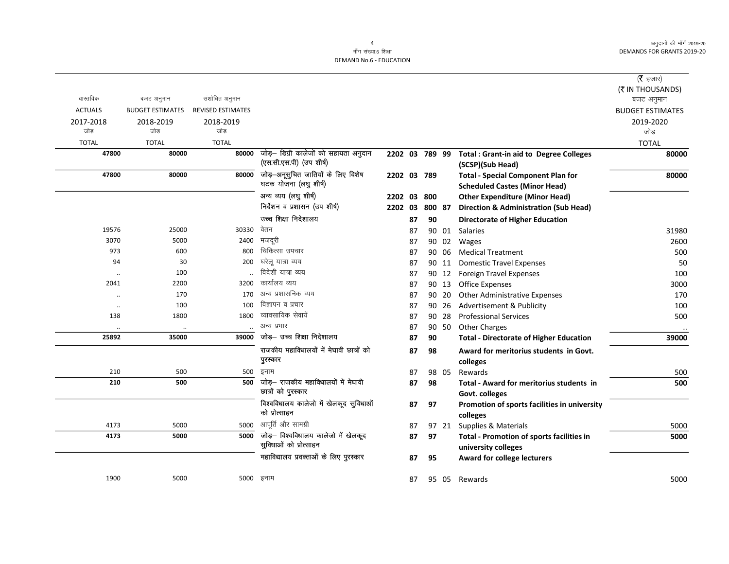माँग संख्या.6 शिक्षा **DEMAND No.6 - EDUCATION** 

|                      |                         |                          |                                                                   |                |    |        |       |                                                                                   | ( $\bar{\tau}$ हजार)           |
|----------------------|-------------------------|--------------------------|-------------------------------------------------------------------|----------------|----|--------|-------|-----------------------------------------------------------------------------------|--------------------------------|
| वास्तविक             | बजट अनुमान              | संशोधित अनुमान           |                                                                   |                |    |        |       |                                                                                   | (₹ IN THOUSANDS)<br>बजट अनुमान |
| <b>ACTUALS</b>       | <b>BUDGET ESTIMATES</b> | <b>REVISED ESTIMATES</b> |                                                                   |                |    |        |       |                                                                                   | <b>BUDGET ESTIMATES</b>        |
| 2017-2018            | 2018-2019               | 2018-2019                |                                                                   |                |    |        |       |                                                                                   | 2019-2020                      |
| जोड                  | जोड                     | जोड                      |                                                                   |                |    |        |       |                                                                                   | जोड                            |
| <b>TOTAL</b>         | <b>TOTAL</b>            | <b>TOTAL</b>             |                                                                   |                |    |        |       |                                                                                   | <b>TOTAL</b>                   |
| 47800                | 80000                   | 80000                    | जोड़– डिग्री कालेजों को सहायता अनुदान<br>(एस.सी.एस.पी) (उप शीर्ष) | 2202 03 789 99 |    |        |       | <b>Total: Grant-in aid to Degree Colleges</b>                                     | 80000                          |
|                      |                         |                          | जोड़—अनूसुचित जातियों के लिए विशेष                                |                |    |        |       | (SCSP)(Sub Head)                                                                  |                                |
| 47800                | 80000                   | 80000                    | घटक योजना (लघु शीर्ष)                                             | 2202 03 789    |    |        |       | <b>Total - Special Component Plan for</b><br><b>Scheduled Castes (Minor Head)</b> | 80000                          |
|                      |                         |                          | अन्य व्यय (लघु शीर्ष)                                             | 2202 03 800    |    |        |       | <b>Other Expenditure (Minor Head)</b>                                             |                                |
|                      |                         |                          | निर्देशन व प्रशासन (उप शीर्ष)                                     | 2202 03        |    | 800 87 |       | <b>Direction &amp; Administration (Sub Head)</b>                                  |                                |
|                      |                         |                          | उच्च शिक्षा निदेशालय                                              |                | 87 | 90     |       | <b>Directorate of Higher Education</b>                                            |                                |
| 19576                | 25000                   | 30330                    | वेतन                                                              |                | 87 |        | 90 01 | <b>Salaries</b>                                                                   | 31980                          |
| 3070                 | 5000                    | 2400                     | मजदूरी                                                            |                | 87 |        | 90 02 | Wages                                                                             | 2600                           |
| 973                  | 600                     | 800                      | चिकित्सा उपचार                                                    |                | 87 |        | 90 06 | <b>Medical Treatment</b>                                                          | 500                            |
| 94                   | 30                      | 200                      | घरेलू यात्रा व्यय                                                 |                | 87 |        | 90 11 | <b>Domestic Travel Expenses</b>                                                   | 50                             |
| $\ddot{\phantom{a}}$ | 100                     |                          | विदेशी यात्रा व्यय                                                |                | 87 |        |       | 90 12 Foreign Travel Expenses                                                     | 100                            |
| 2041                 | 2200                    | 3200                     | कार्यालय व्यय                                                     |                | 87 |        |       | 90 13 Office Expenses                                                             | 3000                           |
|                      | 170                     | 170                      | अन्य प्रशासनिक व्यय                                               |                | 87 | 90     | 20    | <b>Other Administrative Expenses</b>                                              | 170                            |
| $\ddot{\phantom{a}}$ | 100                     | 100                      | विज्ञापन व प्रचार                                                 |                | 87 |        | 90 26 | Advertisement & Publicity                                                         | 100                            |
| 138                  | 1800                    | 1800                     | व्यावसायिक सेवायें                                                |                | 87 | 90     | 28    | <b>Professional Services</b>                                                      | 500                            |
|                      |                         |                          | अन्य प्रभार                                                       |                | 87 |        | 90 50 | <b>Other Charges</b>                                                              |                                |
| 25892                | 35000                   | 39000                    | जोड़- उच्च शिक्षा निदेशालय                                        |                | 87 | 90     |       | <b>Total - Directorate of Higher Education</b>                                    | 39000                          |
|                      |                         |                          | राजकीय महाविधालयों में मेघावी छात्रों को<br>पुरस्कार              |                | 87 | 98     |       | Award for meritorius students in Govt.<br>colleges                                |                                |
| 210                  | 500                     | 500                      | इनाम                                                              |                | 87 |        | 98 05 | Rewards                                                                           | 500                            |
| 210                  | 500                     | 500                      | जोड़— राजकीय महाविधालयों में मेघावी<br>छात्रों को पुरस्कार        |                | 87 | 98     |       | Total - Award for meritorius students in<br>Govt. colleges                        | 500                            |
|                      |                         |                          | विश्वविधालय कालेजो में खेलकूद सुविधाओं<br>को प्रोत्साहन           |                | 87 | 97     |       | Promotion of sports facilities in university<br>colleges                          |                                |
| 4173                 | 5000                    | 5000                     | आपूर्ति और सामग्री                                                |                | 87 |        | 97 21 | Supplies & Materials                                                              | 5000                           |
| 4173                 | 5000                    | 5000                     | जोड़- विश्वविधालय कालेजो में खेलकूद                               |                | 87 | 97     |       | Total - Promotion of sports facilities in                                         | 5000                           |
|                      |                         |                          | सुविधाओं को प्रोत्साहन                                            |                |    |        |       | university colleges                                                               |                                |
|                      |                         |                          | महाविद्यालय प्रवक्ताओं के लिए पुरस्कार                            |                | 87 | 95     |       | Award for college lecturers                                                       |                                |
| 1900                 | 5000                    | 5000 इनाम                |                                                                   |                | 87 |        | 95 05 | Rewards                                                                           | 5000                           |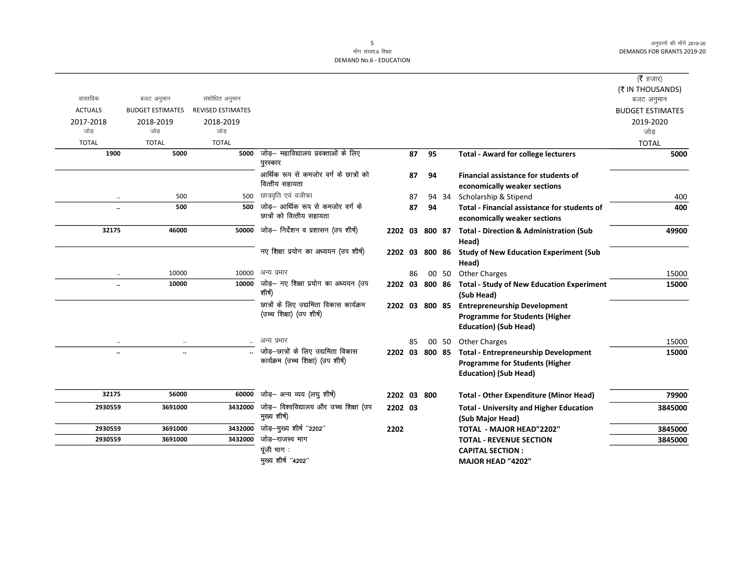DEMAND No.6 - EDUCATION

|                      |                         |                          |                                                                          |                |    |        |       |                                                                                                                      | (रै हजार)               |
|----------------------|-------------------------|--------------------------|--------------------------------------------------------------------------|----------------|----|--------|-------|----------------------------------------------------------------------------------------------------------------------|-------------------------|
|                      |                         |                          |                                                                          |                |    |        |       |                                                                                                                      | (₹ IN THOUSANDS)        |
| वास्तविक             | बजट अनुमान              | संशोधित अनुमान           |                                                                          |                |    |        |       |                                                                                                                      | बजट अनुमान              |
| <b>ACTUALS</b>       | <b>BUDGET ESTIMATES</b> | <b>REVISED ESTIMATES</b> |                                                                          |                |    |        |       |                                                                                                                      | <b>BUDGET ESTIMATES</b> |
| 2017-2018            | 2018-2019<br>जोड        | 2018-2019                |                                                                          |                |    |        |       |                                                                                                                      | 2019-2020               |
| जोड                  |                         | जोड                      |                                                                          |                |    |        |       |                                                                                                                      | जोड                     |
| <b>TOTAL</b><br>1900 | <b>TOTAL</b><br>5000    | <b>TOTAL</b><br>5000     | जोड़— महाविद्यालय प्रवक्ताओं के लिए                                      |                | 87 |        |       |                                                                                                                      | <b>TOTAL</b>            |
|                      |                         |                          | पुरस्कार                                                                 |                |    | 95     |       | <b>Total - Award for college lecturers</b>                                                                           | 5000                    |
|                      |                         |                          | आर्थिक रूप से कमजोर वर्ग के छात्रों को<br>वित्तीय सहायता                 |                | 87 | 94     |       | <b>Financial assistance for students of</b><br>economically weaker sections                                          |                         |
| $\ddotsc$            | 500                     | 500                      | छात्रवृति एवं वजीफा                                                      |                | 87 |        | 94 34 | Scholarship & Stipend                                                                                                | 400                     |
| $\ddotsc$            | 500                     | 500                      | जोड़– आर्थिक रूप से कमजोर वर्ग के<br>छात्रों को वित्तीय सहायता           |                | 87 | 94     |       | <b>Total - Financial assistance for students of</b><br>economically weaker sections                                  | 400                     |
| 32175                | 46000                   | 50000                    | जोड़- निर्देशन व प्रशासन (उप शीर्ष)                                      | 2202 03        |    | 800 87 |       | <b>Total - Direction &amp; Administration (Sub</b><br>Head)                                                          | 49900                   |
|                      |                         |                          | नए शिक्षा प्रयोग का अध्ययन (उप शीर्ष)                                    | 2202 03        |    | 800 86 |       | <b>Study of New Education Experiment (Sub</b><br>Head)                                                               |                         |
| $\ddotsc$            | 10000                   | 10000                    | अन्य प्रभार                                                              |                | 86 |        | 00 50 | <b>Other Charges</b>                                                                                                 | 15000                   |
| $\ldots$             | 10000                   |                          | 10000 जोड़- नए शिक्षा प्रयोग का अध्ययन (उप<br>शीर्ष)                     | 2202 03        |    | 800 86 |       | <b>Total - Study of New Education Experiment</b><br>(Sub Head)                                                       | 15000                   |
|                      |                         |                          | छात्रों के लिए उद्यमिता विकास कार्यक्रम<br>(उच्च शिक्षा) (उप शीर्ष)      | 2202 03 800 85 |    |        |       | <b>Entrepreneurship Development</b><br><b>Programme for Students (Higher</b><br><b>Education) (Sub Head)</b>         |                         |
| $\ddotsc$            | $\ddotsc$               |                          | अन्य प्रभार                                                              |                | 85 |        | 00 50 | <b>Other Charges</b>                                                                                                 | 15000                   |
| $\ldots$             | $\cdot$                 |                          | जोड़—छात्रों के लिए उद्यमिता विकास<br>कार्यक्रम (उच्च शिक्षा) (उप शीर्ष) | 2202 03 800 85 |    |        |       | <b>Total - Entrepreneurship Development</b><br><b>Programme for Students (Higher</b><br><b>Education) (Sub Head)</b> | 15000                   |
| 32175                | 56000                   | 60000                    | जोड़- अन्य व्यय (लघु शीर्ष)                                              | 2202 03 800    |    |        |       | <b>Total - Other Expenditure (Minor Head)</b>                                                                        | 79900                   |
| 2930559              | 3691000                 | 3432000                  | जोड़- विश्वविद्यालय और उच्च शिक्षा (उप<br>मुख्य शीर्ष)                   | 2202 03        |    |        |       | <b>Total - University and Higher Education</b><br>(Sub Major Head)                                                   | 3845000                 |
| 2930559              | 3691000                 | 3432000                  | जोड़-मुख्य शीर्ष "2202"                                                  | 2202           |    |        |       | TOTAL - MAJOR HEAD"2202"                                                                                             | 3845000                 |
| 2930559              | 3691000                 | 3432000                  | जोड़–राजस्व भाग                                                          |                |    |        |       | <b>TOTAL - REVENUE SECTION</b>                                                                                       | 3845000                 |
|                      |                         |                          | पूंजी भाग:                                                               |                |    |        |       | <b>CAPITAL SECTION:</b>                                                                                              |                         |
|                      |                         |                          | मुख्य शीर्ष "4202"                                                       |                |    |        |       | MAJOR HEAD "4202"                                                                                                    |                         |